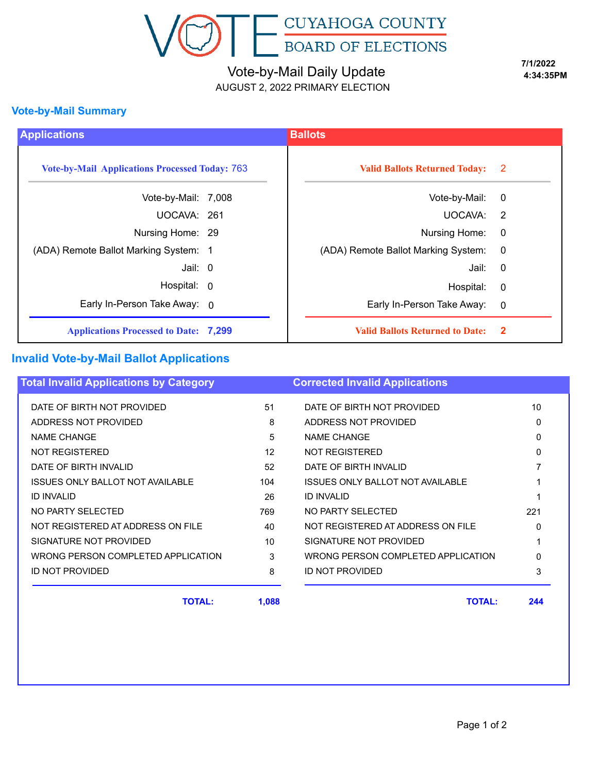

# Vote-by-Mail Daily Update

AUGUST 2, 2022 PRIMARY ELECTION

**7/1/2022 4:34:35PM**

#### **Vote-by-Mail Summary**

| <b>Applications</b>                                   |  | <b>Ballots</b>                         |                         |
|-------------------------------------------------------|--|----------------------------------------|-------------------------|
| <b>Vote-by-Mail Applications Processed Today: 763</b> |  | <b>Valid Ballots Returned Today:</b>   | $\overline{\mathbf{2}}$ |
| Vote-by-Mail: 7,008                                   |  | Vote-by-Mail:                          | $\mathbf 0$             |
| UOCAVA: 261                                           |  | UOCAVA:                                | $\overline{2}$          |
| Nursing Home: 29                                      |  | Nursing Home:                          | $\overline{0}$          |
| (ADA) Remote Ballot Marking System: 1                 |  | (ADA) Remote Ballot Marking System:    | $\overline{0}$          |
| Jail: 0                                               |  | Jail: l                                | $\overline{0}$          |
| Hospital: 0                                           |  | Hospital:                              | $\boldsymbol{0}$        |
| Early In-Person Take Away: 0                          |  | Early In-Person Take Away:             | $\overline{0}$          |
| <b>Applications Processed to Date: 7,299</b>          |  | <b>Valid Ballots Returned to Date:</b> | $\mathbf{2}$            |

### **Invalid Vote-by-Mail Ballot Applications**

| <b>Total Invalid Applications by Category</b> |       | <b>Corrected Invalid Applications</b>   |          |
|-----------------------------------------------|-------|-----------------------------------------|----------|
| DATE OF BIRTH NOT PROVIDED                    | 51    | DATE OF BIRTH NOT PROVIDED              | 10       |
| ADDRESS NOT PROVIDED                          | 8     | ADDRESS NOT PROVIDED                    | $\Omega$ |
| <b>NAME CHANGE</b>                            | 5     | <b>NAME CHANGE</b>                      | $\Omega$ |
| NOT REGISTERED                                | 12    | <b>NOT REGISTERED</b>                   |          |
| DATE OF BIRTH INVALID                         | 52    | DATE OF BIRTH INVALID                   |          |
| <b>ISSUES ONLY BALLOT NOT AVAILABLE</b>       | 104   | <b>ISSUES ONLY BALLOT NOT AVAILABLE</b> |          |
| <b>ID INVALID</b>                             | 26    | <b>ID INVALID</b>                       |          |
| NO PARTY SELECTED                             | 769   | NO PARTY SELECTED                       | 221      |
| NOT REGISTERED AT ADDRESS ON FILE             | 40    | NOT REGISTERED AT ADDRESS ON FILE       | $\Omega$ |
| SIGNATURE NOT PROVIDED                        | 10    | SIGNATURE NOT PROVIDED                  |          |
| WRONG PERSON COMPLETED APPLICATION            | 3     | WRONG PERSON COMPLETED APPLICATION      |          |
| ID NOT PROVIDED                               | 8     | ID NOT PROVIDED                         | 3        |
| <b>TOTAL:</b>                                 | 1,088 | <b>TOTAL:</b>                           | 244      |